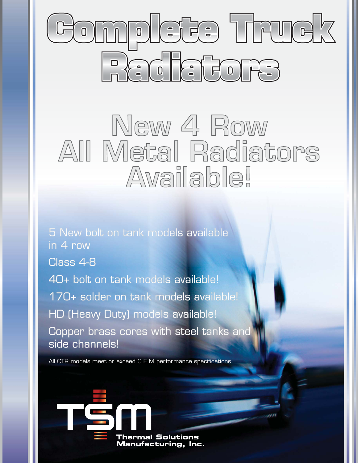

## New 4 Row All Metal Radiators Available!

5 New bolt on tank models available in 4 row Class 4-8 40+ bolt on tank models available! 170+ solder on tank models available! HD (Heavy Duty) models available! Copper brass cores with steel tanks and side channels!

All CTR models meet or exceed O.E.M performance specifications.